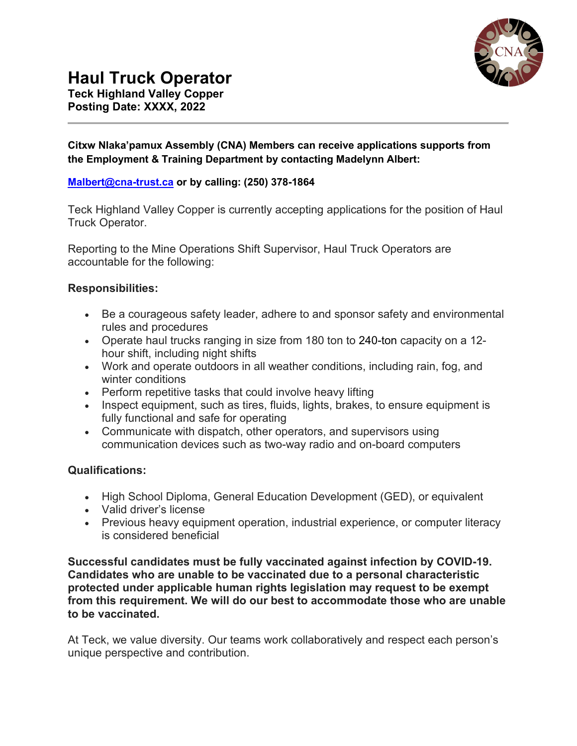

# **Haul Truck Operator**

**Teck Highland Valley Copper Posting Date: XXXX, 2022**

### **Citxw Nlaka'pamux Assembly (CNA) Members can receive applications supports from the Employment & Training Department by contacting Madelynn Albert:**

## **[Malbert@cna-trust.ca](mailto:Malbert@cna-trust.ca) or by calling: (250) 378-1864**

Teck Highland Valley Copper is currently accepting applications for the position of Haul Truck Operator.

Reporting to the Mine Operations Shift Supervisor, Haul Truck Operators are accountable for the following:

### **Responsibilities:**

- Be a courageous safety leader, adhere to and sponsor safety and environmental rules and procedures
- Operate haul trucks ranging in size from 180 ton to 240-ton capacity on a 12 hour shift, including night shifts
- Work and operate outdoors in all weather conditions, including rain, fog, and winter conditions
- Perform repetitive tasks that could involve heavy lifting
- Inspect equipment, such as tires, fluids, lights, brakes, to ensure equipment is fully functional and safe for operating
- Communicate with dispatch, other operators, and supervisors using communication devices such as two-way radio and on-board computers

## **Qualifications:**

- High School Diploma, General Education Development (GED), or equivalent
- Valid driver's license
- Previous heavy equipment operation, industrial experience, or computer literacy is considered beneficial

**Successful candidates must be fully vaccinated against infection by COVID-19. Candidates who are unable to be vaccinated due to a personal characteristic protected under applicable human rights legislation may request to be exempt from this requirement. We will do our best to accommodate those who are unable to be vaccinated.**

At Teck, we value diversity. Our teams work collaboratively and respect each person's unique perspective and contribution.